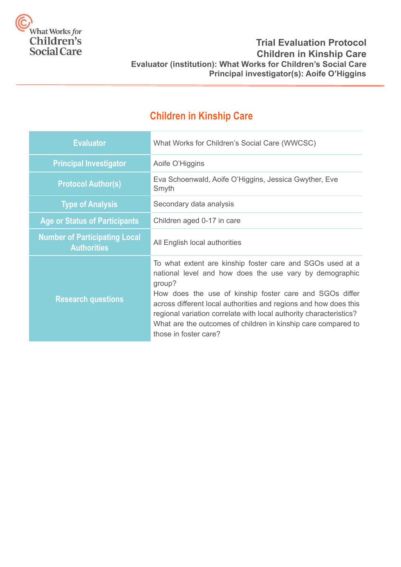

# **Trial Evaluation Protocol Children in Kinship Care Evaluator (institution): What Works for Children's Social Care Principal investigator(s): Aoife O'Higgins**

# **Children in Kinship Care**

| <b>Evaluator</b>                                           | What Works for Children's Social Care (WWCSC)                                                                                                                                                                                                                                                                                                                                                                                 |
|------------------------------------------------------------|-------------------------------------------------------------------------------------------------------------------------------------------------------------------------------------------------------------------------------------------------------------------------------------------------------------------------------------------------------------------------------------------------------------------------------|
| <b>Principal Investigator</b>                              | Aoife O'Higgins                                                                                                                                                                                                                                                                                                                                                                                                               |
| <b>Protocol Author(s)</b>                                  | Eva Schoenwald, Aoife O'Higgins, Jessica Gwyther, Eve<br>Smyth                                                                                                                                                                                                                                                                                                                                                                |
| <b>Type of Analysis</b>                                    | Secondary data analysis                                                                                                                                                                                                                                                                                                                                                                                                       |
| <b>Age or Status of Participants</b>                       | Children aged 0-17 in care                                                                                                                                                                                                                                                                                                                                                                                                    |
| <b>Number of Participating Local</b><br><b>Authorities</b> | All English local authorities                                                                                                                                                                                                                                                                                                                                                                                                 |
| <b>Research questions</b>                                  | To what extent are kinship foster care and SGOs used at a<br>national level and how does the use vary by demographic<br>group?<br>How does the use of kinship foster care and SGOs differ<br>across different local authorities and regions and how does this<br>regional variation correlate with local authority characteristics?<br>What are the outcomes of children in kinship care compared to<br>those in foster care? |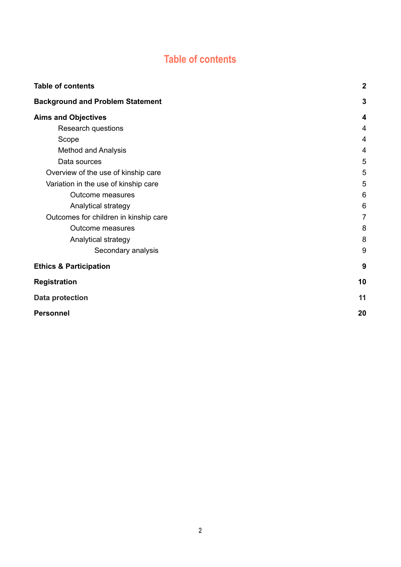# **Table of contents**

<span id="page-1-0"></span>

| <b>Table of contents</b>                | $\boldsymbol{2}$ |
|-----------------------------------------|------------------|
| <b>Background and Problem Statement</b> | 3                |
| <b>Aims and Objectives</b>              | 4                |
| Research questions                      | 4                |
| Scope                                   | 4                |
| <b>Method and Analysis</b>              | 4                |
| Data sources                            | 5                |
| Overview of the use of kinship care     | 5                |
| Variation in the use of kinship care    | 5                |
| Outcome measures                        | 6                |
| Analytical strategy                     | 6                |
| Outcomes for children in kinship care   | $\overline{7}$   |
| <b>Outcome measures</b>                 | 8                |
| Analytical strategy                     | 8                |
| Secondary analysis                      | 9                |
| <b>Ethics &amp; Participation</b>       | 9                |
| <b>Registration</b>                     | 10               |
| <b>Data protection</b>                  | 11               |
| <b>Personnel</b>                        | 20               |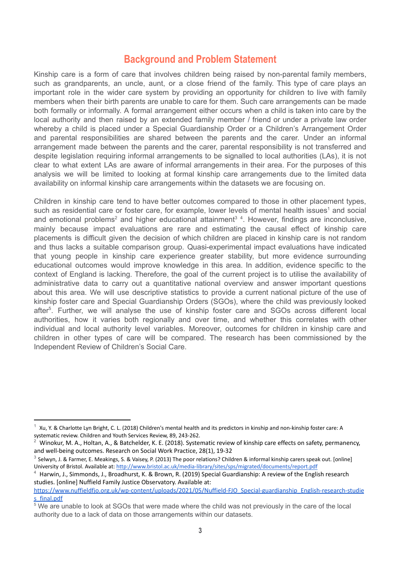# **Background and Problem Statement**

<span id="page-2-0"></span>Kinship care is a form of care that involves children being raised by non-parental family members, such as grandparents, an uncle, aunt, or a close friend of the family. This type of care plays an important role in the wider care system by providing an opportunity for children to live with family members when their birth parents are unable to care for them. Such care arrangements can be made both formally or informally. A formal arrangement either occurs when a child is taken into care by the local authority and then raised by an extended family member / friend or under a private law order whereby a child is placed under a Special Guardianship Order or a Children's Arrangement Order and parental responsibilities are shared between the parents and the carer. Under an informal arrangement made between the parents and the carer, parental responsibility is not transferred and despite legislation requiring informal arrangements to be signalled to local authorities (LAs), it is not clear to what extent LAs are aware of informal arrangements in their area. For the purposes of this analysis we will be limited to looking at formal kinship care arrangements due to the limited data availability on informal kinship care arrangements within the datasets we are focusing on.

Children in kinship care tend to have better outcomes compared to those in other placement types, such as residential care or foster care, for example, lower levels of mental health issues<sup>1</sup> and social and emotional problems<sup>2</sup> and higher educational attainment<sup>3</sup><sup>4</sup>. However, findings are inconclusive, mainly because impact evaluations are rare and estimating the causal effect of kinship care placements is difficult given the decision of which children are placed in kinship care is not random and thus lacks a suitable comparison group. Quasi-experimental impact evaluations have indicated that young people in kinship care experience greater stability, but more evidence surrounding educational outcomes would improve knowledge in this area. In addition, evidence specific to the context of England is lacking. Therefore, the goal of the current project is to utilise the availability of administrative data to carry out a quantitative national overview and answer important questions about this area. We will use descriptive statistics to provide a current national picture of the use of kinship foster care and Special Guardianship Orders (SGOs), where the child was previously looked after<sup>5</sup>. Further, we will analyse the use of kinship foster care and SGOs across different local authorities, how it varies both regionally and over time, and whether this correlates with other individual and local authority level variables. Moreover, outcomes for children in kinship care and children in other types of care will be compared. The research has been commissioned by the Independent Review of Children's Social Care.

<sup>1</sup> Xu, Y. & Charlotte Lyn Bright, C. L. (2018) Children's mental health and its predictors in kinship and non-kinship foster care: A systematic review. Children and Youth Services Review, 89, 243-262.

<sup>2</sup> Winokur, M. A., Holtan, A., & Batchelder, K. E. (2018). Systematic review of kinship care effects on safety, permanency, and well-being outcomes. Research on Social Work Practice, 28(1), 19-32

<sup>3</sup> Selwyn, J. & Farmer, E. Meakings, S. & Vaisey, P. (2013) The poor relations? Children & informal kinship carers speak out. [online] University of Bristol. Available at: <http://www.bristol.ac.uk/media-library/sites/sps/migrated/documents/report.pdf>

<sup>4</sup> Harwin, J., Simmonds, J., Broadhurst, K. & Brown, R. (2019) Special Guardianship: A review of the English research studies. [online] Nuffield Family Justice Observatory. Available at:

[https://www.nuffieldfjo.org.uk/wp-content/uploads/2021/05/Nuffield-FJO\\_Special-guardianship\\_English-research-studie](https://www.nuffieldfjo.org.uk/wp-content/uploads/2021/05/Nuffield-FJO_Special-guardianship_English-research-studies_final.pdf) [s\\_final.pdf](https://www.nuffieldfjo.org.uk/wp-content/uploads/2021/05/Nuffield-FJO_Special-guardianship_English-research-studies_final.pdf)

<sup>&</sup>lt;sup>5</sup> We are unable to look at SGOs that were made where the child was not previously in the care of the local authority due to a lack of data on those arrangements within our datasets.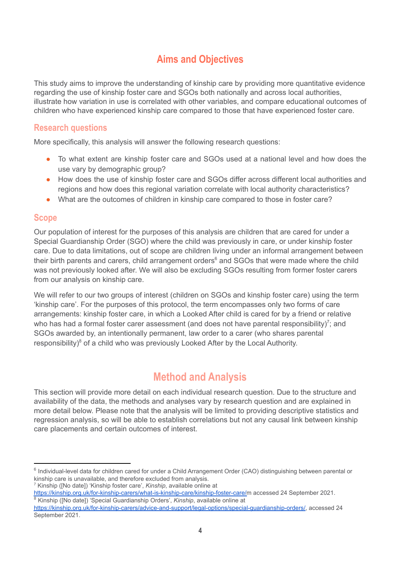# **Aims and Objectives**

<span id="page-3-0"></span>This study aims to improve the understanding of kinship care by providing more quantitative evidence regarding the use of kinship foster care and SGOs both nationally and across local authorities, illustrate how variation in use is correlated with other variables, and compare educational outcomes of children who have experienced kinship care compared to those that have experienced foster care.

## <span id="page-3-1"></span>**Research questions**

More specifically, this analysis will answer the following research questions:

- To what extent are kinship foster care and SGOs used at a national level and how does the use vary by demographic group?
- How does the use of kinship foster care and SGOs differ across different local authorities and regions and how does this regional variation correlate with local authority characteristics?
- What are the outcomes of children in kinship care compared to those in foster care?

## <span id="page-3-2"></span>**Scope**

Our population of interest for the purposes of this analysis are children that are cared for under a Special Guardianship Order (SGO) where the child was previously in care, or under kinship foster care. Due to data limitations, out of scope are children living under an informal arrangement between their birth parents and carers, child arrangement orders<sup>6</sup> and SGOs that were made where the child was not previously looked after. We will also be excluding SGOs resulting from former foster carers from our analysis on kinship care.

We will refer to our two groups of interest (children on SGOs and kinship foster care) using the term 'kinship care'. For the purposes of this protocol, the term encompasses only two forms of care arrangements: kinship foster care, in which a Looked After child is cared for by a friend or relative who has had a formal foster carer assessment (and does not have parental responsibility)<sup>7</sup>; and SGOs awarded by, an intentionally permanent, law order to a carer (who shares parental responsibility) $8$  of a child who was previously Looked After by the Local Authority.

# **Method and Analysis**

<span id="page-3-3"></span>This section will provide more detail on each individual research question. Due to the structure and availability of the data, the methods and analyses vary by research question and are explained in more detail below. Please note that the analysis will be limited to providing descriptive statistics and regression analysis, so will be able to establish correlations but not any causal link between kinship care placements and certain outcomes of interest.

<sup>7</sup> Kinship ([No date]) 'Kinship foster care', *Kinship*, available online at

<sup>&</sup>lt;sup>6</sup> Individual-level data for children cared for under a Child Arrangement Order (CAO) distinguishing between parental or kinship care is unavailable, and therefore excluded from analysis.

<sup>8</sup> Kinship ([No date]) 'Special Guardianship Orders', *Kinship*, available online at [https://kinship.org.uk/for-kinship-carers/what-is-kinship-care/kinship-foster-care/m](https://kinship.org.uk/for-kinship-carers/what-is-kinship-care/kinship-foster-care/) accessed 24 September 2021.

<https://kinship.org.uk/for-kinship-carers/advice-and-support/legal-options/special-guardianship-orders/>, accessed 24 September 2021.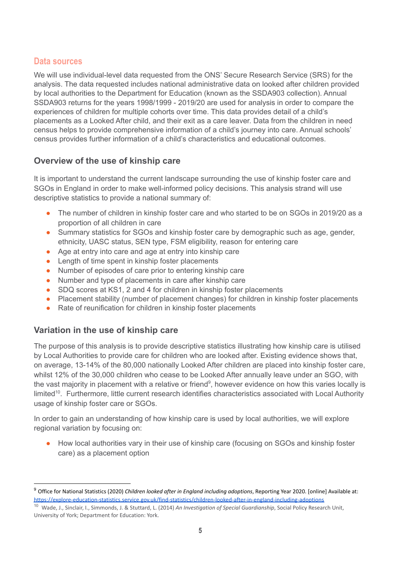## <span id="page-4-0"></span>**Data sources**

We will use individual-level data requested from the ONS' Secure Research Service (SRS) for the analysis. The data requested includes national administrative data on looked after children provided by local authorities to the Department for Education (known as the SSDA903 collection). Annual SSDA903 returns for the years 1998/1999 - 2019/20 are used for analysis in order to compare the experiences of children for multiple cohorts over time. This data provides detail of a child's placements as a Looked After child, and their exit as a care leaver. Data from the children in need census helps to provide comprehensive information of a child's journey into care. Annual schools' census provides further information of a child's characteristics and educational outcomes.

# <span id="page-4-1"></span>**Overview of the use of kinship care**

It is important to understand the current landscape surrounding the use of kinship foster care and SGOs in England in order to make well-informed policy decisions. This analysis strand will use descriptive statistics to provide a national summary of:

- The number of children in kinship foster care and who started to be on SGOs in 2019/20 as a proportion of all children in care
- Summary statistics for SGOs and kinship foster care by demographic such as age, gender, ethnicity, UASC status, SEN type, FSM eligibility, reason for entering care
- Age at entry into care and age at entry into kinship care
- Length of time spent in kinship foster placements
- Number of episodes of care prior to entering kinship care
- Number and type of placements in care after kinship care
- SDQ scores at KS1, 2 and 4 for children in kinship foster placements
- Placement stability (number of placement changes) for children in kinship foster placements
- Rate of reunification for children in kinship foster placements

# <span id="page-4-2"></span>**Variation in the use of kinship care**

The purpose of this analysis is to provide descriptive statistics illustrating how kinship care is utilised by Local Authorities to provide care for children who are looked after. Existing evidence shows that, on average, 13-14% of the 80,000 nationally Looked After children are placed into kinship foster care, whilst 12% of the 30,000 children who cease to be Looked After annually leave under an SGO, with the vast majority in placement with a relative or friend<sup>9</sup>, however evidence on how this varies locally is limited<sup>10</sup>. Furthermore, little current research identifies characteristics associated with Local Authority usage of kinship foster care or SGOs.

In order to gain an understanding of how kinship care is used by local authorities, we will explore regional variation by focusing on:

● How local authorities vary in their use of kinship care (focusing on SGOs and kinship foster care) as a placement option

<sup>9</sup> Office for National Statistics (2020) *Children looked after in England including adoptions*, Reporting Year 2020. [online] Available at: <https://explore-education-statistics.service.gov.uk/find-statistics/children-looked-after-in-england-including-adoptions>

<sup>10</sup> Wade, J., Sinclair, I., Simmonds, J. & Stuttard, L. (2014) *An Investigation of Special Guardianship*, Social Policy Research Unit, University of York; Department for Education: York.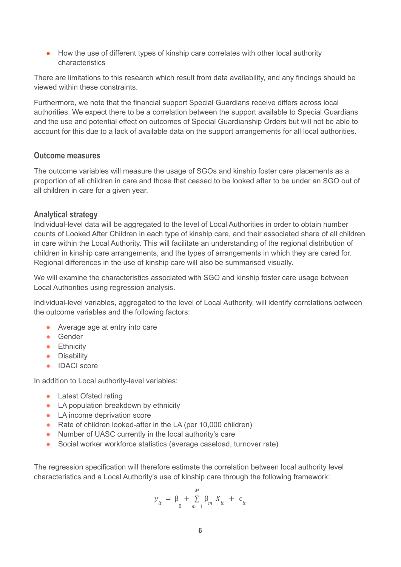● How the use of different types of kinship care correlates with other local authority characteristics

There are limitations to this research which result from data availability, and any findings should be viewed within these constraints.

Furthermore, we note that the financial support Special Guardians receive differs across local authorities. We expect there to be a correlation between the support available to Special Guardians and the use and potential effect on outcomes of Special Guardianship Orders but will not be able to account for this due to a lack of available data on the support arrangements for all local authorities.

#### <span id="page-5-0"></span>**Outcome measures**

The outcome variables will measure the usage of SGOs and kinship foster care placements as a proportion of all children in care and those that ceased to be looked after to be under an SGO out of all children in care for a given year.

### <span id="page-5-1"></span>**Analytical strategy**

Individual-level data will be aggregated to the level of Local Authorities in order to obtain number counts of Looked After Children in each type of kinship care, and their associated share of all children in care within the Local Authority. This will facilitate an understanding of the regional distribution of children in kinship care arrangements, and the types of arrangements in which they are cared for. Regional differences in the use of kinship care will also be summarised visually.

We will examine the characteristics associated with SGO and kinship foster care usage between Local Authorities using regression analysis.

Individual-level variables, aggregated to the level of Local Authority, will identify correlations between the outcome variables and the following factors:

- Average age at entry into care
- Gender
- **•** Ethnicity
- Disability
- IDACI score

In addition to Local authority-level variables:

- Latest Ofsted rating
- LA population breakdown by ethnicity
- LA income deprivation score
- Rate of children looked-after in the LA (per 10,000 children)
- Number of UASC currently in the local authority's care
- Social worker workforce statistics (average caseload, turnover rate)

The regression specification will therefore estimate the correlation between local authority level characteristics and a Local Authority's use of kinship care through the following framework:

$$
y_{lt} = \beta_0 + \sum_{m=1}^{M} \beta_m X_{lt} + \epsilon_{lt}
$$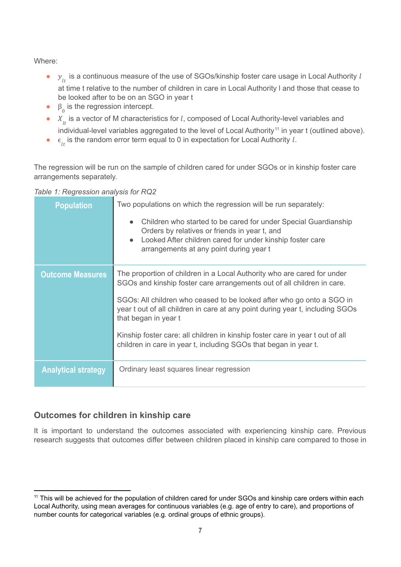Where:

- $\bullet$   $\mathcal{Y}_{lt}$  is a continuous measure of the use of SGOs/kinship foster care usage in Local Authority *l* at time t relative to the number of children in care in Local Authority l and those that cease to be looked after to be on an SGO in year t
- $\bullet$  β<sub>0</sub> is the regression intercept.
- $\bullet$   $X_{it}$  is a vector of M characteristics for *l*, composed of Local Authority-level variables and individual-level variables aggregated to the level of Local Authority<sup>11</sup> in year  $t$  (outlined above).
- $\bullet$   $\epsilon_{lt}$  is the random error term equal to 0 in expectation for Local Authority *l*.

The regression will be run on the sample of children cared for under SGOs or in kinship foster care arrangements separately.

|  | Table 1: Regression analysis for RQ2 |  |
|--|--------------------------------------|--|
|  |                                      |  |

| <b>Population</b>          | Two populations on which the regression will be run separately:<br>Children who started to be cared for under Special Guardianship<br>$\bullet$<br>Orders by relatives or friends in year t, and<br>Looked After children cared for under kinship foster care<br>$\bullet$<br>arrangements at any point during year t                                                                                                                                                                    |
|----------------------------|------------------------------------------------------------------------------------------------------------------------------------------------------------------------------------------------------------------------------------------------------------------------------------------------------------------------------------------------------------------------------------------------------------------------------------------------------------------------------------------|
| <b>Outcome Measures</b>    | The proportion of children in a Local Authority who are cared for under<br>SGOs and kinship foster care arrangements out of all children in care.<br>SGOs: All children who ceased to be looked after who go onto a SGO in<br>year t out of all children in care at any point during year t, including SGOs<br>that began in year t<br>Kinship foster care: all children in kinship foster care in year t out of all<br>children in care in year t, including SGOs that began in year t. |
| <b>Analytical strategy</b> | Ordinary least squares linear regression                                                                                                                                                                                                                                                                                                                                                                                                                                                 |

# <span id="page-6-0"></span>**Outcomes for children in kinship care**

It is important to understand the outcomes associated with experiencing kinship care. Previous research suggests that outcomes differ between children placed in kinship care compared to those in

<sup>&</sup>lt;sup>11</sup> This will be achieved for the population of children cared for under SGOs and kinship care orders within each Local Authority, using mean averages for continuous variables (e.g. age of entry to care), and proportions of number counts for categorical variables (e.g. ordinal groups of ethnic groups).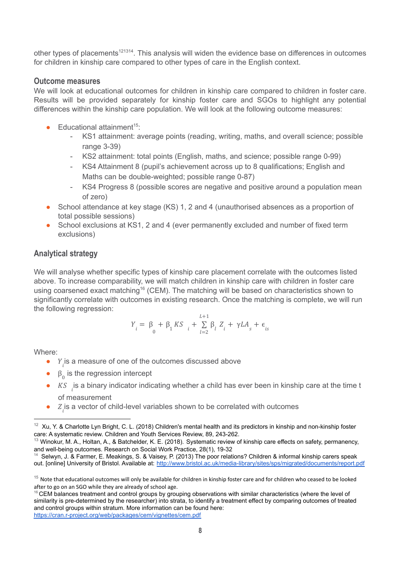other types of placements<sup>121314</sup>. This analysis will widen the evidence base on differences in outcomes for children in kinship care compared to other types of care in the English context.

#### <span id="page-7-0"></span>**Outcome measures**

We will look at educational outcomes for children in kinship care compared to children in foster care. Results will be provided separately for kinship foster care and SGOs to highlight any potential differences within the kinship care population. We will look at the following outcome measures:

- $\bullet$  Educational attainment<sup>15</sup>:
	- KS1 attainment: average points (reading, writing, maths, and overall science; possible range 3-39)
	- KS2 attainment: total points (English, maths, and science; possible range 0-99)
	- KS4 Attainment 8 (pupil's achievement across up to 8 qualifications; English and Maths can be double-weighted; possible range 0-87)
	- KS4 Progress 8 (possible scores are negative and positive around a population mean of zero)
- School attendance at key stage (KS) 1, 2 and 4 (unauthorised absences as a proportion of total possible sessions)
- School exclusions at KS1, 2 and 4 (ever permanently excluded and number of fixed term exclusions)

## <span id="page-7-1"></span>**Analytical strategy**

We will analyse whether specific types of kinship care placement correlate with the outcomes listed above. To increase comparability, we will match children in kinship care with children in foster care using coarsened exact matching<sup>16</sup> (CEM). The matching will be based on characteristics shown to significantly correlate with outcomes in existing research. Once the matching is complete, we will run the following regression:

$$
Y_{i} = \beta_{0} + \beta_{1} K S_{i} + \sum_{l=2}^{L+1} \beta_{l} Z_{i} + \gamma L A_{s} + \epsilon_{is}
$$

Where:

- $\bullet$   $Y_i$  is a measure of one of the outcomes discussed above
- $\bullet$   $\beta_0$  is the regression intercept
- $KS$  is a binary indicator indicating whether a child has ever been in kinship care at the time t of measurement
- $\bullet$   $Z_i$  is a vector of child-level variables shown to be correlated with outcomes

 $12$  Xu, Y. & Charlotte Lyn Bright, C. L. (2018) Children's mental health and its predictors in kinship and non-kinship foster care: A systematic review. Children and Youth Services Review, 89, 243-262.

<sup>&</sup>lt;sup>13</sup> Winokur, M. A., Holtan, A., & Batchelder, K. E. (2018). Systematic review of kinship care effects on safety, permanency, and well-being outcomes. Research on Social Work Practice, 28(1), 19-32

<sup>&</sup>lt;sup>14</sup> Selwyn, J. & Farmer, E. Meakings, S. & Vaisey, P. (2013) The poor relations? Children & informal kinship carers speak out. [online] University of Bristol. Available at: <http://www.bristol.ac.uk/media-library/sites/sps/migrated/documents/report.pdf>

 $15$  Note that educational outcomes will only be available for children in kinship foster care and for children who ceased to be looked after to go on an SGO while they are already of school age.

 $16$  CEM balances treatment and control groups by grouping observations with similar characteristics (where the level of similarity is pre-determined by the researcher) into strata, to identify a treatment effect by comparing outcomes of treated and control groups within stratum. More information can be found here: <https://cran.r-project.org/web/packages/cem/vignettes/cem.pdf>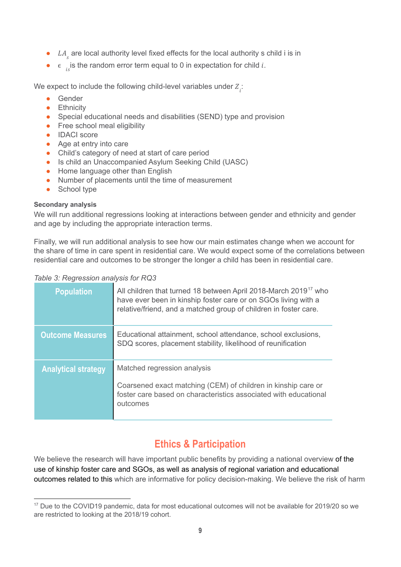- $\bullet$  LA<sub>s</sub> are local authority level fixed effects for the local authority s child i is in
- $\bullet$   $\epsilon$  is the random error term equal to 0 in expectation for child *i*.

We expect to include the following child-level variables under  $Z_{\vec{i}}$ :

- Gender
- **•** Ethnicity
- Special educational needs and disabilities (SEND) type and provision
- Free school meal eligibility
- IDACI score
- Age at entry into care
- Child's category of need at start of care period
- Is child an Unaccompanied Asylum Seeking Child (UASC)
- Home language other than English
- Number of placements until the time of measurement
- School type

#### <span id="page-8-0"></span>**Secondary analysis**

We will run additional regressions looking at interactions between gender and ethnicity and gender and age by including the appropriate interaction terms.

Finally, we will run additional analysis to see how our main estimates change when we account for the share of time in care spent in residential care. We would expect some of the correlations between residential care and outcomes to be stronger the longer a child has been in residential care.

#### *Table 3: Regression analysis for RQ3*

| <b>Population</b>          | All children that turned 18 between April 2018-March 2019 <sup>17</sup> who<br>have ever been in kinship foster care or on SGOs living with a<br>relative/friend, and a matched group of children in foster care. |
|----------------------------|-------------------------------------------------------------------------------------------------------------------------------------------------------------------------------------------------------------------|
| <b>Outcome Measures</b>    | Educational attainment, school attendance, school exclusions,<br>SDQ scores, placement stability, likelihood of reunification                                                                                     |
| <b>Analytical strategy</b> | Matched regression analysis<br>Coarsened exact matching (CEM) of children in kinship care or<br>foster care based on characteristics associated with educational<br>outcomes                                      |

# **Ethics & Participation**

<span id="page-8-1"></span>We believe the research will have important public benefits by providing a national overview of the use of kinship foster care and SGOs, as well as analysis of regional variation and educational outcomes related to this which are informative for policy decision-making. We believe the risk of harm

<sup>&</sup>lt;sup>17</sup> Due to the COVID19 pandemic, data for most educational outcomes will not be available for 2019/20 so we are restricted to looking at the 2018/19 cohort.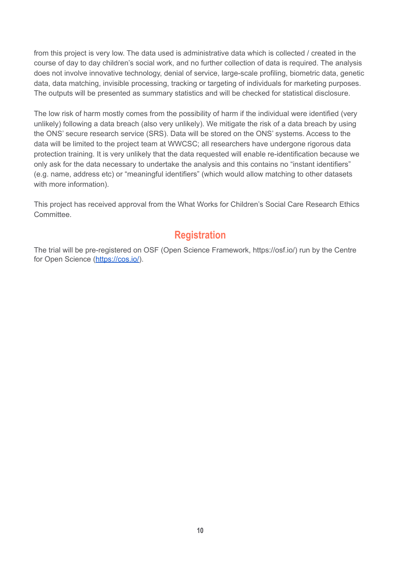from this project is very low. The data used is administrative data which is collected / created in the course of day to day children's social work, and no further collection of data is required. The analysis does not involve innovative technology, denial of service, large-scale profiling, biometric data, genetic data, data matching, invisible processing, tracking or targeting of individuals for marketing purposes. The outputs will be presented as summary statistics and will be checked for statistical disclosure.

The low risk of harm mostly comes from the possibility of harm if the individual were identified (very unlikely) following a data breach (also very unlikely). We mitigate the risk of a data breach by using the ONS' secure research service (SRS). Data will be stored on the ONS' systems. Access to the data will be limited to the project team at WWCSC; all researchers have undergone rigorous data protection training. It is very unlikely that the data requested will enable re-identification because we only ask for the data necessary to undertake the analysis and this contains no "instant identifiers" (e.g. name, address etc) or "meaningful identifiers" (which would allow matching to other datasets with more information).

This project has received approval from the What Works for Children's Social Care Research Ethics **Committee.** 

# **Registration**

The trial will be pre-registered on OSF (Open Science Framework, https://osf.io/) run by the Centre for Open Science [\(https://cos.io/\)](https://cos.io/).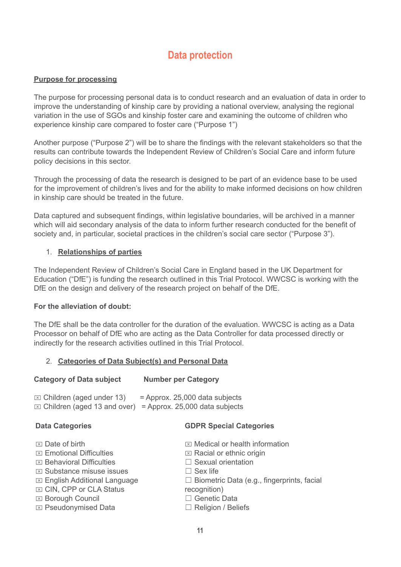# **Data protection**

#### <span id="page-10-0"></span>**Purpose for processing**

The purpose for processing personal data is to conduct research and an evaluation of data in order to improve the understanding of kinship care by providing a national overview, analysing the regional variation in the use of SGOs and kinship foster care and examining the outcome of children who experience kinship care compared to foster care ("Purpose 1")

Another purpose ("Purpose 2") will be to share the findings with the relevant stakeholders so that the results can contribute towards the Independent Review of Children's Social Care and inform future policy decisions in this sector.

Through the processing of data the research is designed to be part of an evidence base to be used for the improvement of children's lives and for the ability to make informed decisions on how children in kinship care should be treated in the future.

Data captured and subsequent findings, within legislative boundaries, will be archived in a manner which will aid secondary analysis of the data to inform further research conducted for the benefit of society and, in particular, societal practices in the children's social care sector ("Purpose 3").

#### 1. **Relationships of parties**

The Independent Review of Children's Social Care in England based in the UK Department for Education ("DfE") is funding the research outlined in this Trial Protocol. WWCSC is working with the DfE on the design and delivery of the research project on behalf of the DfE.

#### **For the alleviation of doubt:**

The DfE shall be the data controller for the duration of the evaluation. WWCSC is acting as a Data Processor on behalf of DfE who are acting as the Data Controller for data processed directly or indirectly for the research activities outlined in this Trial Protocol.

#### 2. **Categories of Data Subject(s) and Personal Data**

| <b>Category of Data subject</b>          | <b>Number per Category</b>           |
|------------------------------------------|--------------------------------------|
| $\triangledown$ Children (aged under 13) | $\equiv$ Annrox 25,000 data subjects |

| UTIMU CIT (ayaa unuar To) | - Applius. Lu,uuu udid subjects                                        |
|---------------------------|------------------------------------------------------------------------|
|                           | $\boxtimes$ Children (aged 13 and over) = Approx. 25,000 data subjects |

#### **Data Categories**

⌧ Pseudonymised Data

#### **GDPR Special Categories**

- $\boxtimes$  Date of birth  $\triangleright$  Emotional Difficulties ⌧ Behavioral Difficulties ⌧ Substance misuse issues ⌧ English Additional Language  $⊠$  **CIN, CPP or CLA Status** ⌧ Borough Council  $\boxtimes$  Medical or health information  $\boxtimes$  Racial or ethnic origin ☐ Sexual orientation  $\Box$  Sex life □ Biometric Data (e.g., fingerprints, facial recognition) ☐ Genetic Data
	- □ Religion / Beliefs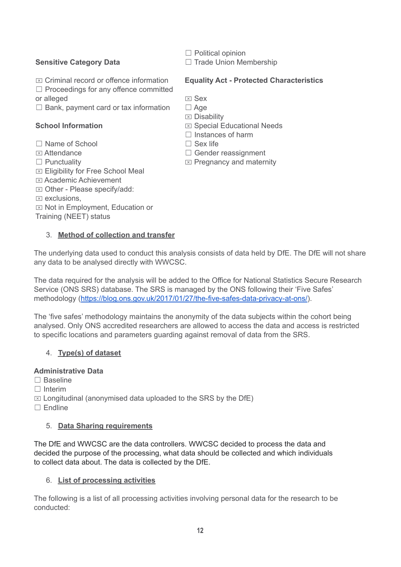### **Sensitive Category Data**

- $\Box$  Political opinion
- □ Trade Union Membership
- $\overline{X}$  Criminal record or offence information
- ☐ Proceedings for any offence committed
- or alleged
- $\Box$  Bank, payment card or tax information

## **School Information**

- ☐ Name of School
- $<sub>x</sub>$  Attendance</sub>
- □ Punctuality
- $⊠$  **Eligibility for Free School Meal**
- ⌧ Academic Achievement
- ⌧ Other Please specify/add:
- $\overline{\mathbb{Z}}$  exclusions.
- $\boxtimes$  Not in Employment, Education or
- Training (NEET) status

## 3. **Method of collection and transfer**

#### **Equality Act - Protected Characteristics**

- ⌧ Sex
- □ Age
- $\boxtimes$  Disability
- ⌧ Special Educational Needs
- ☐ Instances of harm
- $\Box$  Sex life
- □ Gender reassignment
- $\boxtimes$  Pregnancy and maternity

The underlying data used to conduct this analysis consists of data held by DfE. The DfE will not share any data to be analysed directly with WWCSC.

The data required for the analysis will be added to the Office for National Statistics Secure Research Service (ONS SRS) database. The SRS is managed by the ONS following their 'Five Safes' methodology [\(https://blog.ons.gov.uk/2017/01/27/the-five-safes-data-privacy-at-ons/](https://blog.ons.gov.uk/2017/01/27/the-five-safes-data-privacy-at-ons/)).

The 'five safes' methodology maintains the anonymity of the data subjects within the cohort being analysed. Only ONS accredited researchers are allowed to access the data and access is restricted to specific locations and parameters guarding against removal of data from the SRS.

## 4. **Type(s) of dataset**

## **Administrative Data**

- ☐ Baseline
- ☐ Interim
- $\boxtimes$  Longitudinal (anonymised data uploaded to the SRS by the DfE)
- $\Box$  Endline

## 5. **Data Sharing requirements**

The DfE and WWCSC are the data controllers. WWCSC decided to process the data and decided the purpose of the processing, what data should be collected and which individuals to collect data about. The data is collected by the DfE.

## 6. **List of processing activities**

The following is a list of all processing activities involving personal data for the research to be conducted: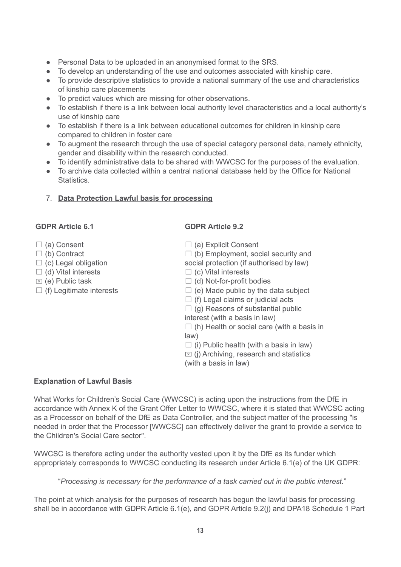- Personal Data to be uploaded in an anonymised format to the SRS.
- To develop an understanding of the use and outcomes associated with kinship care.
- To provide descriptive statistics to provide a national summary of the use and characteristics of kinship care placements
- To predict values which are missing for other observations.
- To establish if there is a link between local authority level characteristics and a local authority's use of kinship care
- To establish if there is a link between educational outcomes for children in kinship care compared to children in foster care
- To augment the research through the use of special category personal data, namely ethnicity, gender and disability within the research conducted.
- To identify administrative data to be shared with WWCSC for the purposes of the evaluation.
- To archive data collected within a central national database held by the Office for National Statistics.

#### 7. **Data Protection Lawful basis for processing**

#### **GDPR Article 6.1**

- □ (a) Consent
- ☐ (b) Contract
- $\Box$  (c) Legal obligation
- $\Box$  (d) Vital interests
- $\boxtimes$  (e) Public task
- $\Box$  (f) Legitimate interests

#### **GDPR Article 9.2**

- □ (a) Explicit Consent
- $\Box$  (b) Employment, social security and
- social protection (if authorised by law)
- $\Box$  (c) Vital interests
- $\Box$  (d) Not-for-profit bodies
- $\Box$  (e) Made public by the data subject
- $\Box$  (f) Legal claims or judicial acts
- $\Box$  (g) Reasons of substantial public
- interest (with a basis in law)
- $\Box$  (h) Health or social care (with a basis in law)
- $\Box$  (i) Public health (with a basis in law)
- $\boxtimes$  (i) Archiving, research and statistics
- (with a basis in law)

#### **Explanation of Lawful Basis**

What Works for Children's Social Care (WWCSC) is acting upon the instructions from the DfE in accordance with Annex K of the Grant Offer Letter to WWCSC, where it is stated that WWCSC acting as a Processor on behalf of the DfE as Data Controller, and the subject matter of the processing "is needed in order that the Processor [WWCSC] can effectively deliver the grant to provide a service to the Children's Social Care sector".

WWCSC is therefore acting under the authority vested upon it by the DfE as its funder which appropriately corresponds to WWCSC conducting its research under Article 6.1(e) of the UK GDPR:

"*Processing is necessary for the performance of a task carried out in the public interest.*"

The point at which analysis for the purposes of research has begun the lawful basis for processing shall be in accordance with GDPR Article 6.1(e), and GDPR Article 9.2(j) and DPA18 Schedule 1 Part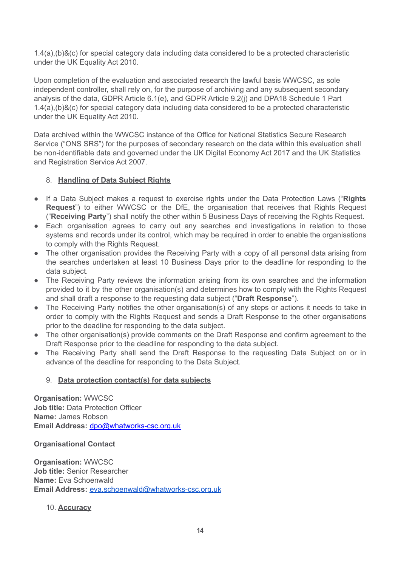1.4(a),(b)&(c) for special category data including data considered to be a protected characteristic under the UK Equality Act 2010.

Upon completion of the evaluation and associated research the lawful basis WWCSC, as sole independent controller, shall rely on, for the purpose of archiving and any subsequent secondary analysis of the data, GDPR Article 6.1(e), and GDPR Article 9.2(j) and DPA18 Schedule 1 Part 1.4(a),(b)&(c) for special category data including data considered to be a protected characteristic under the UK Equality Act 2010.

Data archived within the WWCSC instance of the Office for National Statistics Secure Research Service ("ONS SRS") for the purposes of secondary research on the data within this evaluation shall be non-identifiable data and governed under the UK Digital Economy Act 2017 and the UK Statistics and Registration Service Act 2007.

### 8. **Handling of Data Subject Rights**

- If a Data Subject makes a request to exercise rights under the Data Protection Laws ("**Rights Request**") to either WWCSC or the DfE, the organisation that receives that Rights Request ("**Receiving Party**") shall notify the other within 5 Business Days of receiving the Rights Request.
- Each organisation agrees to carry out any searches and investigations in relation to those systems and records under its control, which may be required in order to enable the organisations to comply with the Rights Request.
- <span id="page-13-0"></span>• The other organisation provides the Receiving Party with a copy of all personal data arising from the searches undertaken at least 10 Business Days prior to the deadline for responding to the data subject.
- The Receiving Party reviews the information arising from its own searches and the information provided to it by the other organisation(s) and determines how to comply with the Rights Request and shall draft a response to the requesting data subject ("**Draft Response**").
- The Receiving Party notifies the other organisation(s) of any steps or actions it needs to take in order to comply with the Rights Request and sends a Draft Response to the other organisations prior to the deadline for responding to the data subject.
- The other organisation(s) provide comments on the Draft Response and confirm agreement to the Draft Response prior to the deadline for responding to the data subject.
- The Receiving Party shall send the Draft Response to the requesting Data Subject on or in advance of the deadline for responding to the Data Subject.

#### 9. **Data protection contact(s) for data subjects**

**Organisation:** WWCSC **Job title:** Data Protection Officer **Name:** James Robson **Email Address:** [dpo@whatworks-csc.org.uk](mailto:dpo@whatworks-csc.org.uk)

**Organisational Contact**

**Organisation:** WWCSC **Job title:** Senior Researcher **Name:** Eva Schoenwald **Email Address:** [eva.schoenwald@whatworks-csc.org.uk](mailto:eva.schoenwald@whatworks-csc.org.uk)

10. **Accuracy**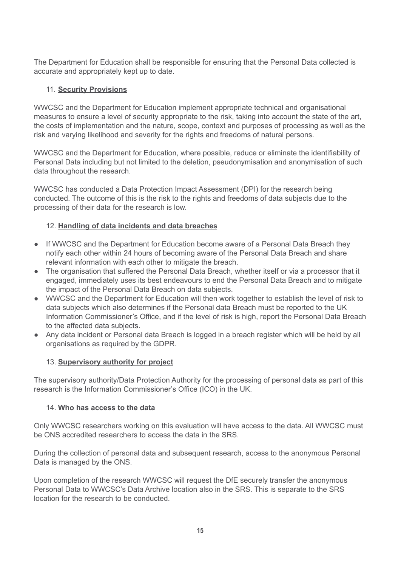The Department for Education shall be responsible for ensuring that the Personal Data collected is accurate and appropriately kept up to date.

### 11. **Security Provisions**

WWCSC and the Department for Education implement appropriate technical and organisational measures to ensure a level of security appropriate to the risk, taking into account the state of the art, the costs of implementation and the nature, scope, context and purposes of processing as well as the risk and varying likelihood and severity for the rights and freedoms of natural persons.

WWCSC and the Department for Education, where possible, reduce or eliminate the identifiability of Personal Data including but not limited to the deletion, pseudonymisation and anonymisation of such data throughout the research.

WWCSC has conducted a Data Protection Impact Assessment (DPI) for the research being conducted. The outcome of this is the risk to the rights and freedoms of data subjects due to the processing of their data for the research is low.

#### 12. **Handling of data incidents and data breaches**

- If WWCSC and the Department for Education become aware of a Personal Data Breach they notify each other within 24 hours of becoming aware of the Personal Data Breach and share relevant information with each other to mitigate the breach.
- The organisation that suffered the Personal Data Breach, whether itself or via a processor that it engaged, immediately uses its best endeavours to end the Personal Data Breach and to mitigate the impact of the Personal Data Breach on data subjects.
- WWCSC and the Department for Education will then work together to establish the level of risk to data subjects which also determines if the Personal data Breach must be reported to the UK Information Commissioner's Office, and if the level of risk is high, report the Personal Data Breach to the affected data subjects.
- Any data incident or Personal data Breach is logged in a breach register which will be held by all organisations as required by the GDPR.

#### 13. **Supervisory authority for project**

The supervisory authority/Data Protection Authority for the processing of personal data as part of this research is the Information Commissioner's Office (ICO) in the UK.

#### 14. **Who has access to the data**

Only WWCSC researchers working on this evaluation will have access to the data. All WWCSC must be ONS accredited researchers to access the data in the SRS.

During the collection of personal data and subsequent research, access to the anonymous Personal Data is managed by the ONS.

Upon completion of the research WWCSC will request the DfE securely transfer the anonymous Personal Data to WWCSC's Data Archive location also in the SRS. This is separate to the SRS location for the research to be conducted.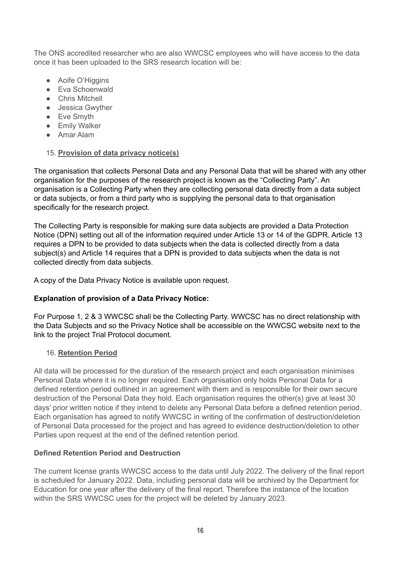The ONS accredited researcher who are also WWCSC employees who will have access to the data once it has been uploaded to the SRS research location will be:

- Aoife O'Higgins
- Eva Schoenwald
- Chris Mitchell
- Jessica Gwyther
- Eve Smyth
- **•** Emily Walker
- Amar Alam

## 15. **Provision of data privacy notice(s)**

The organisation that collects Personal Data and any Personal Data that will be shared with any other organisation for the purposes of the research project is known as the "Collecting Party". An organisation is a Collecting Party when they are collecting personal data directly from a data subject or data subjects, or from a third party who is supplying the personal data to that organisation specifically for the research project.

The Collecting Party is responsible for making sure data subjects are provided a Data Protection Notice (DPN) setting out all of the information required under Article 13 or 14 of the GDPR. Article 13 requires a DPN to be provided to data subjects when the data is collected directly from a data subject(s) and Article 14 requires that a DPN is provided to data subjects when the data is not collected directly from data subjects.

A copy of the Data Privacy Notice is available upon request.

# **Explanation of provision of a Data Privacy Notice:**

For Purpose 1, 2 & 3 WWCSC shall be the Collecting Party. WWCSC has no direct relationship with the Data Subjects and so the Privacy Notice shall be accessible on the WWCSC website next to the link to the project Trial Protocol document.

# 16. **Retention Period**

All data will be processed for the duration of the research project and each organisation minimises Personal Data where it is no longer required. Each organisation only holds Personal Data for a defined retention period outlined in an agreement with them and is responsible for their own secure destruction of the Personal Data they hold. Each organisation requires the other(s) give at least 30 days' prior written notice if they intend to delete any Personal Data before a defined retention period. Each organisation has agreed to notify WWCSC in writing of the confirmation of destruction/deletion of Personal Data processed for the project and has agreed to evidence destruction/deletion to other Parties upon request at the end of the defined retention period.

## **Defined Retention Period and Destruction**

The current license grants WWCSC access to the data until July 2022. The delivery of the final report is scheduled for January 2022. Data, including personal data will be archived by the Department for Education for one year after the delivery of the final report. Therefore the instance of the location within the SRS WWCSC uses for the project will be deleted by January 2023.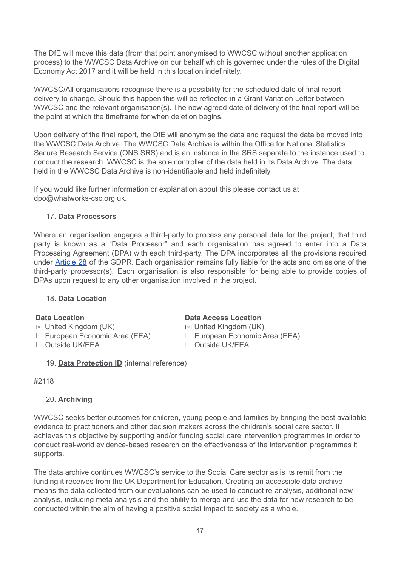The DfE will move this data (from that point anonymised to WWCSC without another application process) to the WWCSC Data Archive on our behalf which is governed under the rules of the Digital Economy Act 2017 and it will be held in this location indefinitely.

WWCSC/All organisations recognise there is a possibility for the scheduled date of final report delivery to change. Should this happen this will be reflected in a Grant Variation Letter between WWCSC and the relevant organisation(s). The new agreed date of delivery of the final report will be the point at which the timeframe for when deletion begins.

Upon delivery of the final report, the DfE will anonymise the data and request the data be moved into the WWCSC Data Archive. The WWCSC Data Archive is within the Office for National Statistics Secure Research Service (ONS SRS) and is an instance in the SRS separate to the instance used to conduct the research. WWCSC is the sole controller of the data held in its Data Archive. The data held in the WWCSC Data Archive is non-identifiable and held indefinitely.

If you would like further information or explanation about this please contact us at dpo@whatworks-csc.org.uk.

### 17. **Data Processors**

Where an organisation engages a third-party to process any personal data for the project, that third party is known as a "Data Processor" and each organisation has agreed to enter into a Data Processing Agreement (DPA) with each third-party. The DPA incorporates all the provisions required under [Article](https://gdpr-info.eu/art-28-gdpr/) 28 of the GDPR. Each organisation remains fully liable for the acts and omissions of the third-party processor(s). Each organisation is also responsible for being able to provide copies of DPAs upon request to any other organisation involved in the project.

#### 18. **Data Location**

**Data Location**  $\boxtimes$  United Kingdom (UK)

☐ European Economic Area (EEA)

- ☐ Outside UK/EEA
	- 19. **Data Protection ID** (internal reference)

#### **Data Access Location**

 $\boxtimes$  United Kingdom (UK) ☐ European Economic Area (EEA) ☐ Outside UK/EEA

#2118

## 20. **Archiving**

WWCSC seeks better outcomes for children, young people and families by bringing the best available evidence to practitioners and other decision makers across the children's social care sector. It achieves this objective by supporting and/or funding social care intervention programmes in order to conduct real-world evidence-based research on the effectiveness of the intervention programmes it supports.

The data archive continues WWCSC's service to the Social Care sector as is its remit from the funding it receives from the UK Department for Education. Creating an accessible data archive means the data collected from our evaluations can be used to conduct re-analysis, additional new analysis, including meta-analysis and the ability to merge and use the data for new research to be conducted within the aim of having a positive social impact to society as a whole.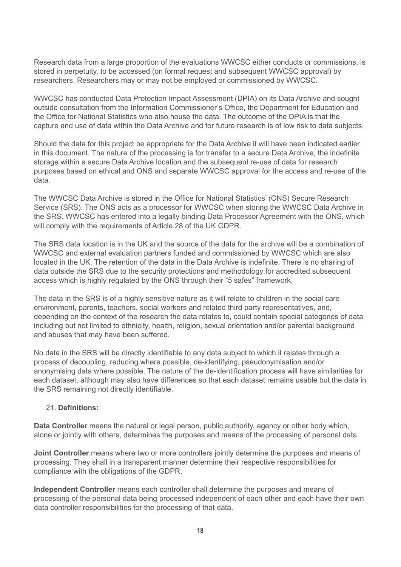Research data from a large proportion of the evaluations WWCSC either conducts or commissions, is stored in perpetuity, to be accessed (on formal request and subsequent WWCSC approval) by researchers. Researchers may or may not be employed or commissioned by WWCSC.

WWCSC has conducted Data Protection Impact Assessment (DPIA) on its Data Archive and sought outside consultation from the Information Commissioner's Office, the Department for Education and the Office for National Statistics who also house the data. The outcome of the DPIA is that the capture and use of data within the Data Archive and for future research is of low risk to data subjects.

Should the data for this project be appropriate for the Data Archive it will have been indicated earlier in this document. The nature of the processing is for transfer to a secure Data Archive, the indefinite storage within a secure Data Archive location and the subsequent re-use of data for research purposes based on ethical and ONS and separate WWCSC approval for the access and re-use of the data.

The WWCSC Data Archive is stored in the Office for National Statistics' (ONS) Secure Research Service (SRS). The ONS acts as a processor for WWCSC when storing the WWCSC Data Archive in the SRS. WWCSC has entered into a legally binding Data Processor Agreement with the ONS, which will comply with the requirements of Article 28 of the UK GDPR.

The SRS data location is in the UK and the source of the data for the archive will be a combination of WWCSC and external evaluation partners funded and commissioned by WWCSC which are also located in the UK. The retention of the data in the Data Archive is indefinite. There is no sharing of data outside the SRS due to the security protections and methodology for accredited subsequent access which is highly regulated by the ONS through their "5 safes" framework.

The data in the SRS is of a highly sensitive nature as it will relate to children in the social care environment, parents, teachers, social workers and related third party representatives, and, depending on the context of the research the data relates to, could contain special categories of data including but not limited to ethnicity, health, religion, sexual orientation and/or parental background and abuses that may have been suffered.

No data in the SRS will be directly identifiable to any data subject to which it relates through a process of decoupling, reducing where possible, de-identifying, pseudonymisation and/or anonymising data where possible. The nature of the de-identification process will have similarities for each dataset, although may also have differences so that each dataset remains usable but the data in the SRS remaining not directly identifiable.

#### 21. **Definitions:**

**Data Controller** means the natural or legal person, public authority, agency or other body which, alone or jointly with others, determines the purposes and means of the processing of personal data.

**Joint Controller** means where two or more controllers jointly determine the purposes and means of processing. They shall in a transparent manner determine their respective responsibilities for compliance with the obligations of the GDPR.

**Independent Controller** means each controller shall determine the purposes and means of processing of the personal data being processed independent of each other and each have their own data controller responsibilities for the processing of that data.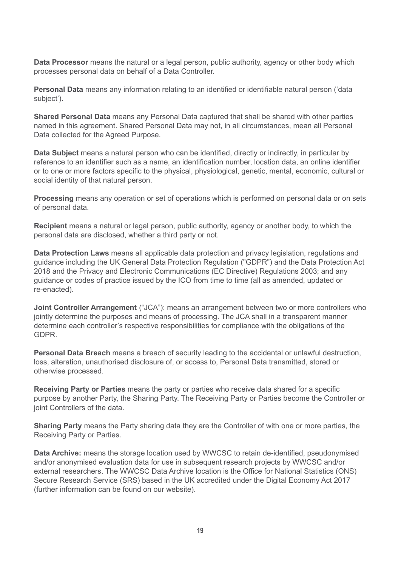**Data Processor** means the natural or a legal person, public authority, agency or other body which processes personal data on behalf of a Data Controller.

**Personal Data** means any information relating to an identified or identifiable natural person ('data subject').

**Shared Personal Data** means any Personal Data captured that shall be shared with other parties named in this agreement. Shared Personal Data may not, in all circumstances, mean all Personal Data collected for the Agreed Purpose.

**Data Subject** means a natural person who can be identified, directly or indirectly, in particular by reference to an identifier such as a name, an identification number, location data, an online identifier or to one or more factors specific to the physical, physiological, genetic, mental, economic, cultural or social identity of that natural person.

**Processing** means any operation or set of operations which is performed on personal data or on sets of personal data.

**Recipient** means a natural or legal person, public authority, agency or another body, to which the personal data are disclosed, whether a third party or not.

**Data Protection Laws** means all applicable data protection and privacy legislation, regulations and guidance including the UK General Data Protection Regulation ("GDPR") and the Data Protection Act 2018 and the Privacy and Electronic Communications (EC Directive) Regulations 2003; and any guidance or codes of practice issued by the ICO from time to time (all as amended, updated or re-enacted).

**Joint Controller Arrangement** ("JCA"): means an arrangement between two or more controllers who jointly determine the purposes and means of processing. The JCA shall in a transparent manner determine each controller's respective responsibilities for compliance with the obligations of the GDPR.

**Personal Data Breach** means a breach of security leading to the accidental or unlawful destruction, loss, alteration, unauthorised disclosure of, or access to, Personal Data transmitted, stored or otherwise processed.

**Receiving Party or Parties** means the party or parties who receive data shared for a specific purpose by another Party, the Sharing Party. The Receiving Party or Parties become the Controller or joint Controllers of the data.

**Sharing Party** means the Party sharing data they are the Controller of with one or more parties, the Receiving Party or Parties.

**Data Archive:** means the storage location used by WWCSC to retain de-identified, pseudonymised and/or anonymised evaluation data for use in subsequent research projects by WWCSC and/or external researchers. The WWCSC Data Archive location is the Office for National Statistics (ONS) Secure Research Service (SRS) based in the UK accredited under the Digital Economy Act 2017 (further information can be found on our website).